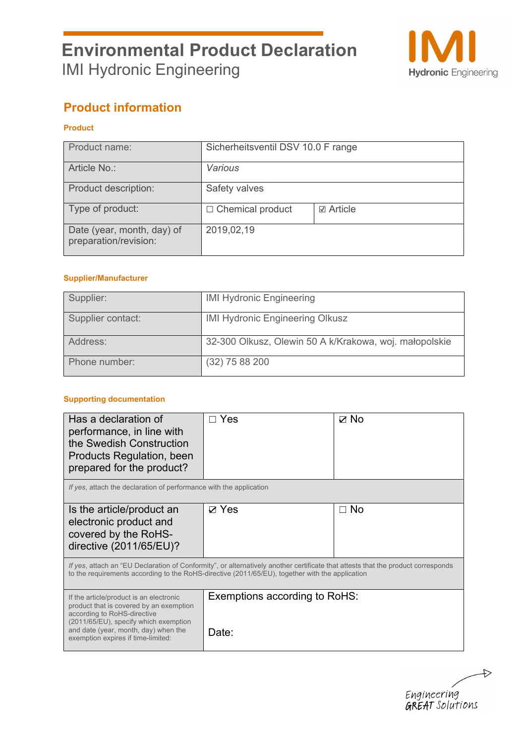

## **Product information**

## **Product**

| Product name:                                       | Sicherheitsventil DSV 10.0 F range |                  |
|-----------------------------------------------------|------------------------------------|------------------|
| Article No.:                                        | Various                            |                  |
| Product description:                                | Safety valves                      |                  |
| Type of product:                                    | $\Box$ Chemical product            | <b>☑</b> Article |
| Date (year, month, day) of<br>preparation/revision: | 2019,02,19                         |                  |

### **Supplier/Manufacturer**

| Supplier:         | <b>IMI Hydronic Engineering</b>                        |
|-------------------|--------------------------------------------------------|
| Supplier contact: | <b>IMI Hydronic Engineering Olkusz</b>                 |
| Address:          | 32-300 Olkusz, Olewin 50 A k/Krakowa, woj. małopolskie |
| Phone number:     | $(32)$ 75 88 200                                       |

### **Supporting documentation**

| Has a declaration of<br>performance, in line with<br>the Swedish Construction<br>Products Regulation, been<br>prepared for the product?                                                                                                  | Yes                                    | ☑ No |
|------------------------------------------------------------------------------------------------------------------------------------------------------------------------------------------------------------------------------------------|----------------------------------------|------|
| If yes, attach the declaration of performance with the application                                                                                                                                                                       |                                        |      |
| Is the article/product an<br>electronic product and<br>covered by the RoHS-<br>directive (2011/65/EU)?                                                                                                                                   | <b>⊠ Yes</b>                           | ⊟ No |
| If yes, attach an "EU Declaration of Conformity", or alternatively another certificate that attests that the product corresponds<br>to the requirements according to the RoHS-directive (2011/65/EU), together with the application      |                                        |      |
| If the article/product is an electronic<br>product that is covered by an exemption<br>according to RoHS-directive<br>(2011/65/EU), specify which exemption<br>and date (year, month, day) when the<br>exemption expires if time-limited: | Exemptions according to RoHS:<br>Date: |      |

 $\rightarrow$ Engineering<br>**GREAT** Solutions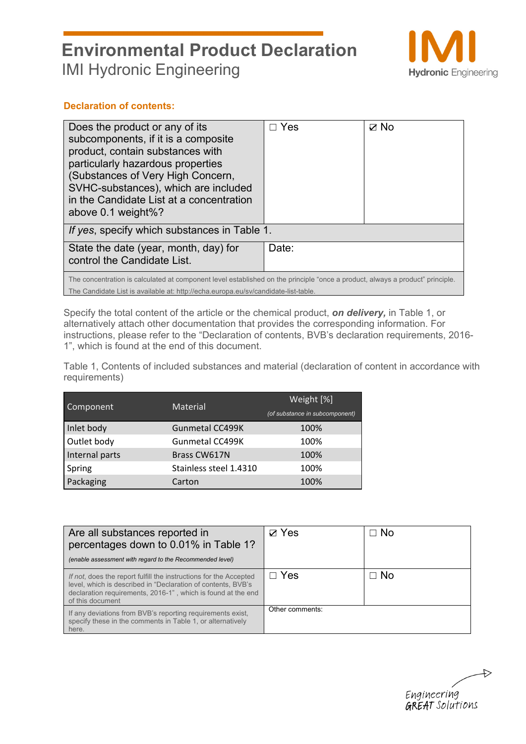

## **Declaration of contents:**

| Does the product or any of its<br>subcomponents, if it is a composite<br>product, contain substances with<br>particularly hazardous properties<br>(Substances of Very High Concern,<br>SVHC-substances), which are included<br>in the Candidate List at a concentration<br>above $0.1$ weight%? | Yes   | ⊽ No |  |  |
|-------------------------------------------------------------------------------------------------------------------------------------------------------------------------------------------------------------------------------------------------------------------------------------------------|-------|------|--|--|
| If yes, specify which substances in Table 1.                                                                                                                                                                                                                                                    |       |      |  |  |
| State the date (year, month, day) for<br>control the Candidate List.                                                                                                                                                                                                                            | Date: |      |  |  |
| The concentration is calculated at component level established on the principle "once a product, always a product" principle.<br>The Candidate List is available at: http://echa.europa.eu/sv/candidate-list-table.                                                                             |       |      |  |  |

Specify the total content of the article or the chemical product, *on delivery,* in Table 1, or alternatively attach other documentation that provides the corresponding information. For instructions, please refer to the "Declaration of contents, BVB's declaration requirements, 2016- 1", which is found at the end of this document.

Table 1, Contents of included substances and material (declaration of content in accordance with requirements)

| Component      | Material               | Weight [%]                     |  |  |
|----------------|------------------------|--------------------------------|--|--|
|                |                        | (of substance in subcomponent) |  |  |
| Inlet body     | <b>Gunmetal CC499K</b> | 100%                           |  |  |
| Outlet body    | Gunmetal CC499K        | 100%                           |  |  |
| Internal parts | Brass CW617N           | 100%                           |  |  |
| Spring         | Stainless steel 1.4310 | 100%                           |  |  |
| Packaging      | Carton                 | 100%                           |  |  |

| Are all substances reported in<br>percentages down to 0.01% in Table 1?<br>(enable assessment with regard to the Recommended level)                                                                                   | $\nabla$ Yes    | $\Box$ No   |
|-----------------------------------------------------------------------------------------------------------------------------------------------------------------------------------------------------------------------|-----------------|-------------|
| If not, does the report fulfill the instructions for the Accepted<br>level, which is described in "Declaration of contents, BVB's<br>declaration requirements, 2016-1", which is found at the end<br>of this document | $\Box$ Yes      | $\sqcap$ No |
| If any deviations from BVB's reporting requirements exist,<br>specify these in the comments in Table 1, or alternatively<br>here.                                                                                     | Other comments: |             |

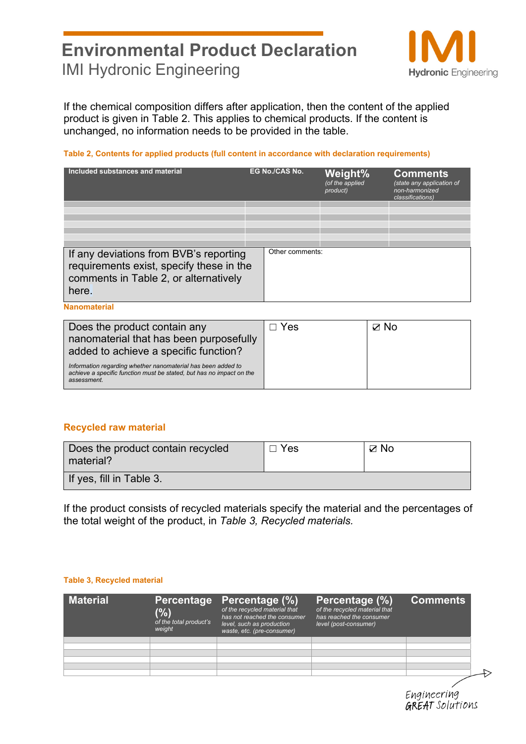

If the chemical composition differs after application, then the content of the applied product is given in Table 2. This applies to chemical products. If the content is unchanged, no information needs to be provided in the table.

### **Table 2, Contents for applied products (full content in accordance with declaration requirements)**

| Included substances and material                                                                                                     | <b>EG No./CAS No.</b> |                 | Weight%<br>(of the applied<br>product) | <b>Comments</b><br>(state any application of<br>non-harmonized<br>classifications) |
|--------------------------------------------------------------------------------------------------------------------------------------|-----------------------|-----------------|----------------------------------------|------------------------------------------------------------------------------------|
|                                                                                                                                      |                       |                 |                                        |                                                                                    |
|                                                                                                                                      |                       |                 |                                        |                                                                                    |
|                                                                                                                                      |                       |                 |                                        |                                                                                    |
|                                                                                                                                      |                       |                 |                                        |                                                                                    |
|                                                                                                                                      |                       |                 |                                        |                                                                                    |
|                                                                                                                                      |                       |                 |                                        |                                                                                    |
| If any deviations from BVB's reporting<br>requirements exist, specify these in the<br>comments in Table 2, or alternatively<br>here. |                       | Other comments: |                                        |                                                                                    |

**Nanomaterial** 

| Does the product contain any<br>nanomaterial that has been purposefully<br>added to achieve a specific function?                                    | Yes | ⊠ No |
|-----------------------------------------------------------------------------------------------------------------------------------------------------|-----|------|
| Information regarding whether nanomaterial has been added to<br>achieve a specific function must be stated, but has no impact on the<br>assessment. |     |      |

## **Recycled raw material**

| Does the product contain recycled<br>material? | $\Box$ Yes | $\boxtimes$ No |
|------------------------------------------------|------------|----------------|
| If yes, fill in Table 3.                       |            |                |

If the product consists of recycled materials specify the material and the percentages of the total weight of the product, in *Table 3, Recycled materials.*

### **Table 3, Recycled material**

| <b>Material</b> | (%)<br>of the total product's<br>weight | Percentage Percentage (%)<br>of the recycled material that<br>has not reached the consumer<br>level, such as production<br>waste, etc. (pre-consumer) | Percentage (%)<br>of the recycled material that<br>has reached the consumer<br>level (post-consumer) | <b>Comments</b> |  |
|-----------------|-----------------------------------------|-------------------------------------------------------------------------------------------------------------------------------------------------------|------------------------------------------------------------------------------------------------------|-----------------|--|
|                 |                                         |                                                                                                                                                       |                                                                                                      |                 |  |
|                 |                                         |                                                                                                                                                       |                                                                                                      |                 |  |
|                 |                                         |                                                                                                                                                       |                                                                                                      |                 |  |
|                 |                                         |                                                                                                                                                       |                                                                                                      |                 |  |
|                 |                                         |                                                                                                                                                       |                                                                                                      |                 |  |
|                 |                                         |                                                                                                                                                       |                                                                                                      |                 |  |
|                 |                                         |                                                                                                                                                       |                                                                                                      |                 |  |

Engineering **GREAT** Solutions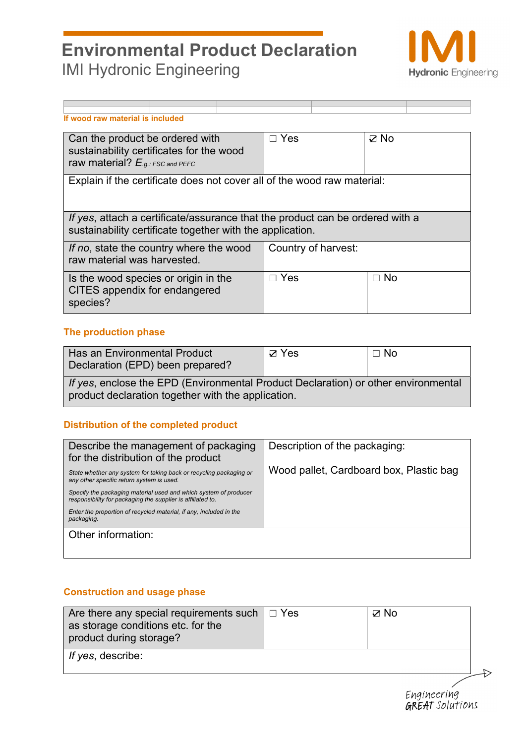

| If wood raw material is included                                                                                                           |                                                                         |  |            |                     |           |  |
|--------------------------------------------------------------------------------------------------------------------------------------------|-------------------------------------------------------------------------|--|------------|---------------------|-----------|--|
| Can the product be ordered with<br>sustainability certificates for the wood<br>raw material? $E_{.g.:FSC}$ and PEFC                        |                                                                         |  | $\Box$ Yes |                     | ⊽ No      |  |
|                                                                                                                                            | Explain if the certificate does not cover all of the wood raw material: |  |            |                     |           |  |
| If yes, attach a certificate/assurance that the product can be ordered with a<br>sustainability certificate together with the application. |                                                                         |  |            |                     |           |  |
| If no, state the country where the wood<br>raw material was harvested.                                                                     |                                                                         |  |            | Country of harvest: |           |  |
| Is the wood species or origin in the<br>CITES appendix for endangered<br>species?                                                          |                                                                         |  | $\Box$ Yes |                     | $\Box$ No |  |

## **The production phase**

| Has an Environmental Product<br>Declaration (EPD) been prepared?                           | $\boxtimes$ Yes | $\Box$ No |  |  |  |
|--------------------------------------------------------------------------------------------|-----------------|-----------|--|--|--|
| <i>If yes</i> , enclose the EPD (Environmental Product Declaration) or other environmental |                 |           |  |  |  |
| product declaration together with the application.                                         |                 |           |  |  |  |

## **Distribution of the completed product**

| Describe the management of packaging<br>for the distribution of the product                                                     | Description of the packaging:           |
|---------------------------------------------------------------------------------------------------------------------------------|-----------------------------------------|
| State whether any system for taking back or recycling packaging or<br>any other specific return system is used.                 | Wood pallet, Cardboard box, Plastic bag |
| Specify the packaging material used and which system of producer<br>responsibility for packaging the supplier is affiliated to. |                                         |
| Enter the proportion of recycled material, if any, included in the<br>packaging.                                                |                                         |
| Other information:                                                                                                              |                                         |
|                                                                                                                                 |                                         |

## **Construction and usage phase**

| Are there any special requirements such $\Box$ Yes<br>as storage conditions etc. for the<br>product during storage? | $□$ No |  |
|---------------------------------------------------------------------------------------------------------------------|--------|--|
| If yes, describe:                                                                                                   |        |  |

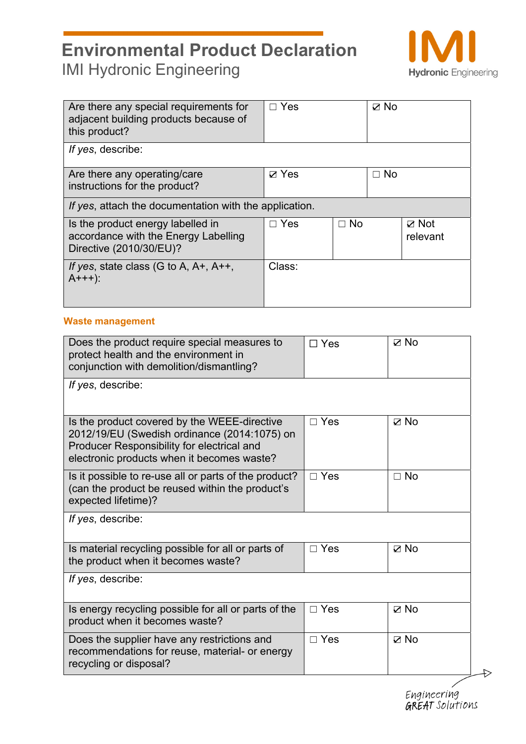

| Are there any special requirements for<br>adjacent building products because of<br>this product?     | $\Box$ Yes   |           | ⊽ No      |                             |
|------------------------------------------------------------------------------------------------------|--------------|-----------|-----------|-----------------------------|
| If yes, describe:                                                                                    |              |           |           |                             |
| Are there any operating/care<br>instructions for the product?                                        | $\nabla$ Yes |           | $\Box$ No |                             |
| If yes, attach the documentation with the application.                                               |              |           |           |                             |
| Is the product energy labelled in<br>accordance with the Energy Labelling<br>Directive (2010/30/EU)? | $\Box$ Yes   | $\Box$ No |           | $\boxtimes$ Not<br>relevant |
| If yes, state class (G to A, $A+$ , $A++$ ,<br>$A+++$ ):                                             | Class:       |           |           |                             |

## **Waste management**

| Does the product require special measures to<br>protect health and the environment in<br>conjunction with demolition/dismantling?                                                        | $\Box$ Yes | $\nabla$ No    |
|------------------------------------------------------------------------------------------------------------------------------------------------------------------------------------------|------------|----------------|
| If yes, describe:                                                                                                                                                                        |            |                |
| Is the product covered by the WEEE-directive<br>2012/19/EU (Swedish ordinance (2014:1075) on<br>Producer Responsibility for electrical and<br>electronic products when it becomes waste? | $\Box$ Yes | $\nabla$ No    |
| Is it possible to re-use all or parts of the product?<br>(can the product be reused within the product's<br>expected lifetime)?                                                          | $\Box$ Yes | $\Box$ No      |
| If yes, describe:                                                                                                                                                                        |            |                |
| Is material recycling possible for all or parts of<br>the product when it becomes waste?                                                                                                 | $\Box$ Yes | $\nabla$ No    |
| If yes, describe:                                                                                                                                                                        |            |                |
| Is energy recycling possible for all or parts of the<br>product when it becomes waste?                                                                                                   | $\Box$ Yes | $\boxtimes$ No |
| Does the supplier have any restrictions and<br>recommendations for reuse, material- or energy<br>recycling or disposal?                                                                  | $\Box$ Yes | $\nabla$ No    |

Engineering<br>**GREAT** Solutions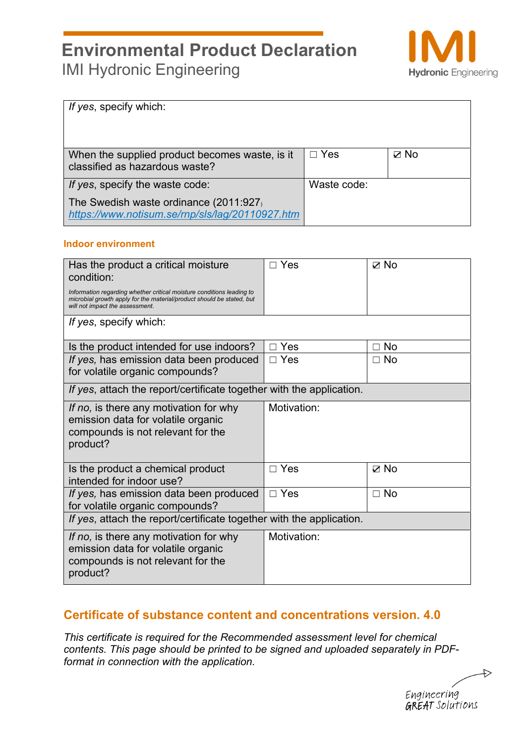

| If yes, specify which:                                                                    |             |                |
|-------------------------------------------------------------------------------------------|-------------|----------------|
| When the supplied product becomes waste, is it<br>classified as hazardous waste?          | $\Box$ Yes  | $\boxtimes$ No |
| If yes, specify the waste code:                                                           | Waste code: |                |
| The Swedish waste ordinance (2011:927)<br>https://www.notisum.se/rnp/sls/lag/20110927.htm |             |                |

### **Indoor environment**

| Has the product a critical moisture<br>condition:<br>Information regarding whether critical moisture conditions leading to<br>microbial growth apply for the material/product should be stated, but<br>will not impact the assessment. | $\Box$ Yes  | ⊠ No            |
|----------------------------------------------------------------------------------------------------------------------------------------------------------------------------------------------------------------------------------------|-------------|-----------------|
| If yes, specify which:                                                                                                                                                                                                                 |             |                 |
| Is the product intended for use indoors?                                                                                                                                                                                               | $\Box$ Yes  | <b>No</b><br>П  |
| If yes, has emission data been produced<br>for volatile organic compounds?                                                                                                                                                             | $\Box$ Yes  | <b>No</b><br>П. |
| If yes, attach the report/certificate together with the application.                                                                                                                                                                   |             |                 |
| If no, is there any motivation for why<br>emission data for volatile organic<br>compounds is not relevant for the<br>product?                                                                                                          | Motivation: |                 |
| Is the product a chemical product<br>intended for indoor use?                                                                                                                                                                          | $\Box$ Yes  | $\boxtimes$ No  |
| If yes, has emission data been produced<br>for volatile organic compounds?                                                                                                                                                             | $\Box$ Yes  | $\Box$ No       |
| If yes, attach the report/certificate together with the application.                                                                                                                                                                   |             |                 |
| If no, is there any motivation for why<br>emission data for volatile organic<br>compounds is not relevant for the<br>product?                                                                                                          | Motivation: |                 |

## **Certificate of substance content and concentrations version. 4.0**

*This certificate is required for the Recommended assessment level for chemical contents. This page should be printed to be signed and uploaded separately in PDFformat in connection with the application.* 

 $\Rightarrow$ Engineering **GREAT** Solutions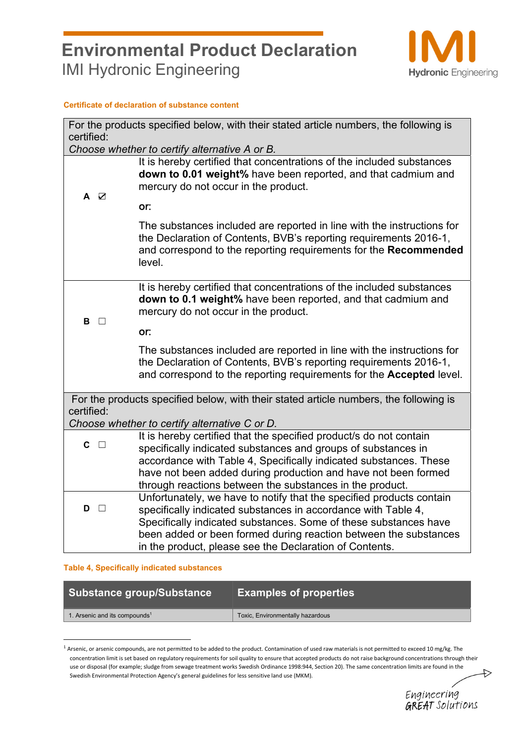

#### **Certificate of declaration of substance content**

|             | For the products specified below, with their stated article numbers, the following is                                                                                                                                                                                                                                                    |
|-------------|------------------------------------------------------------------------------------------------------------------------------------------------------------------------------------------------------------------------------------------------------------------------------------------------------------------------------------------|
| certified:  |                                                                                                                                                                                                                                                                                                                                          |
|             | Choose whether to certify alternative A or B.                                                                                                                                                                                                                                                                                            |
| A Ø         | It is hereby certified that concentrations of the included substances<br>down to 0.01 weight% have been reported, and that cadmium and<br>mercury do not occur in the product.                                                                                                                                                           |
|             | or:                                                                                                                                                                                                                                                                                                                                      |
|             | The substances included are reported in line with the instructions for<br>the Declaration of Contents, BVB's reporting requirements 2016-1,<br>and correspond to the reporting requirements for the Recommended<br>level.                                                                                                                |
| В<br>$\Box$ | It is hereby certified that concentrations of the included substances<br>down to 0.1 weight% have been reported, and that cadmium and<br>mercury do not occur in the product.                                                                                                                                                            |
|             | or:                                                                                                                                                                                                                                                                                                                                      |
|             | The substances included are reported in line with the instructions for<br>the Declaration of Contents, BVB's reporting requirements 2016-1,<br>and correspond to the reporting requirements for the <b>Accepted</b> level.                                                                                                               |
| certified:  | For the products specified below, with their stated article numbers, the following is                                                                                                                                                                                                                                                    |
|             | Choose whether to certify alternative C or D.                                                                                                                                                                                                                                                                                            |
| $c \Box$    | It is hereby certified that the specified product/s do not contain<br>specifically indicated substances and groups of substances in<br>accordance with Table 4, Specifically indicated substances. These<br>have not been added during production and have not been formed<br>through reactions between the substances in the product.   |
| D<br>$\Box$ | Unfortunately, we have to notify that the specified products contain<br>specifically indicated substances in accordance with Table 4,<br>Specifically indicated substances. Some of these substances have<br>been added or been formed during reaction between the substances<br>in the product, please see the Declaration of Contents. |

#### **Table 4, Specifically indicated substances**

| Substance group/Substance                         | <b>Examples of properties</b>    |
|---------------------------------------------------|----------------------------------|
| $\vert$ 1. Arsenic and its compounds <sup>1</sup> | Toxic, Environmentally hazardous |

 $1$  Arsenic, or arsenic compounds, are not permitted to be added to the product. Contamination of used raw materials is not permitted to exceed 10 mg/kg. The concentration limit is set based on regulatory requirements for soil quality to ensure that accepted products do not raise background concentrations through their use or disposal (for example; sludge from sewage treatment works Swedish Ordinance 1998:944, Section 20). The same concentration limits are found in the Swedish Environmental Protection Agency's general guidelines for less sensitive land use (MKM).



 $\leftrightarrow$